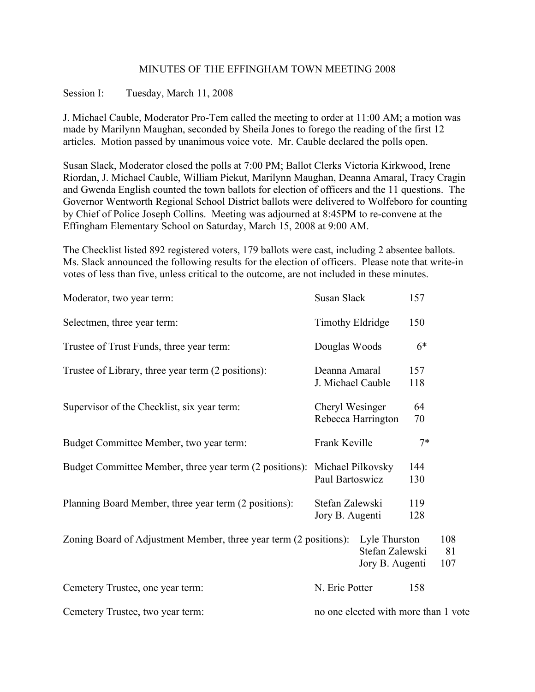# MINUTES OF THE EFFINGHAM TOWN MEETING 2008

### Session I: Tuesday, March 11, 2008

J. Michael Cauble, Moderator Pro-Tem called the meeting to order at 11:00 AM; a motion was made by Marilynn Maughan, seconded by Sheila Jones to forego the reading of the first 12 articles. Motion passed by unanimous voice vote. Mr. Cauble declared the polls open.

Susan Slack, Moderator closed the polls at 7:00 PM; Ballot Clerks Victoria Kirkwood, Irene Riordan, J. Michael Cauble, William Piekut, Marilynn Maughan, Deanna Amaral, Tracy Cragin and Gwenda English counted the town ballots for election of officers and the 11 questions. The Governor Wentworth Regional School District ballots were delivered to Wolfeboro for counting by Chief of Police Joseph Collins. Meeting was adjourned at 8:45PM to re-convene at the Effingham Elementary School on Saturday, March 15, 2008 at 9:00 AM.

The Checklist listed 892 registered voters, 179 ballots were cast, including 2 absentee ballots. Ms. Slack announced the following results for the election of officers. Please note that write-in votes of less than five, unless critical to the outcome, are not included in these minutes.

| Moderator, two year term:                                                 | Susan Slack                        |                                                     | 157        |                  |
|---------------------------------------------------------------------------|------------------------------------|-----------------------------------------------------|------------|------------------|
| Selectmen, three year term:                                               | Timothy Eldridge                   |                                                     | 150        |                  |
| Trustee of Trust Funds, three year term:                                  | Douglas Woods                      |                                                     | $6*$       |                  |
| Trustee of Library, three year term (2 positions):                        | Deanna Amaral<br>J. Michael Cauble |                                                     | 157<br>118 |                  |
| Supervisor of the Checklist, six year term:                               | Cheryl Wesinger                    | Rebecca Harrington                                  | 64<br>70   |                  |
| Budget Committee Member, two year term:                                   | Frank Keville                      |                                                     | $7*$       |                  |
| Budget Committee Member, three year term (2 positions): Michael Pilkovsky | Paul Bartoswicz                    |                                                     | 144<br>130 |                  |
| Planning Board Member, three year term (2 positions):                     | Stefan Zalewski<br>Jory B. Augenti |                                                     | 119<br>128 |                  |
| Zoning Board of Adjustment Member, three year term (2 positions):         |                                    | Lyle Thurston<br>Stefan Zalewski<br>Jory B. Augenti |            | 108<br>81<br>107 |
| Cemetery Trustee, one year term:                                          | N. Eric Potter                     |                                                     | 158        |                  |
| Cemetery Trustee, two year term:                                          |                                    | no one elected with more than 1 vote                |            |                  |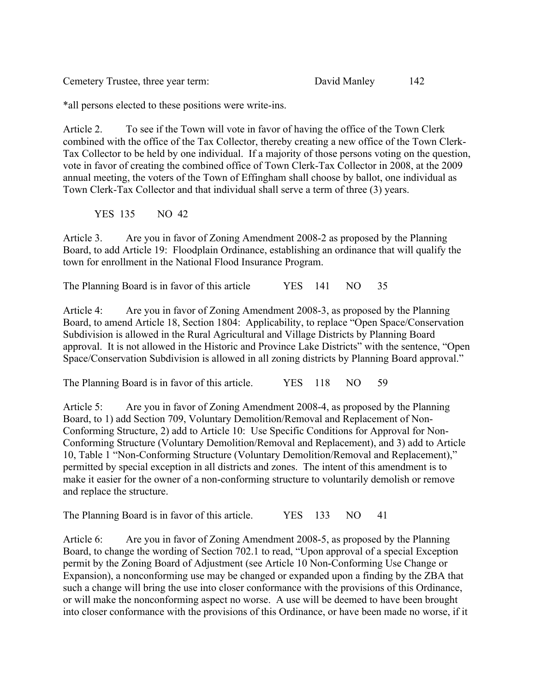Cemetery Trustee, three year term: David Manley 142

\*all persons elected to these positions were write-ins.

Article 2. To see if the Town will vote in favor of having the office of the Town Clerk combined with the office of the Tax Collector, thereby creating a new office of the Town Clerk-Tax Collector to be held by one individual. If a majority of those persons voting on the question, vote in favor of creating the combined office of Town Clerk-Tax Collector in 2008, at the 2009 annual meeting, the voters of the Town of Effingham shall choose by ballot, one individual as Town Clerk-Tax Collector and that individual shall serve a term of three (3) years.

YES 135 NO 42

Article 3. Are you in favor of Zoning Amendment 2008-2 as proposed by the Planning Board, to add Article 19: Floodplain Ordinance, establishing an ordinance that will qualify the town for enrollment in the National Flood Insurance Program.

The Planning Board is in favor of this article YES 141 NO 35

Article 4: Are you in favor of Zoning Amendment 2008-3, as proposed by the Planning Board, to amend Article 18, Section 1804: Applicability, to replace "Open Space/Conservation Subdivision is allowed in the Rural Agricultural and Village Districts by Planning Board approval. It is not allowed in the Historic and Province Lake Districts" with the sentence, "Open Space/Conservation Subdivision is allowed in all zoning districts by Planning Board approval."

The Planning Board is in favor of this article. YES 118 NO 59

Article 5: Are you in favor of Zoning Amendment 2008-4, as proposed by the Planning Board, to 1) add Section 709, Voluntary Demolition/Removal and Replacement of Non-Conforming Structure, 2) add to Article 10: Use Specific Conditions for Approval for Non-Conforming Structure (Voluntary Demolition/Removal and Replacement), and 3) add to Article 10, Table 1 "Non-Conforming Structure (Voluntary Demolition/Removal and Replacement)," permitted by special exception in all districts and zones. The intent of this amendment is to make it easier for the owner of a non-conforming structure to voluntarily demolish or remove and replace the structure.

The Planning Board is in favor of this article. YES 133 NO 41

Article 6: Are you in favor of Zoning Amendment 2008-5, as proposed by the Planning Board, to change the wording of Section 702.1 to read, "Upon approval of a special Exception permit by the Zoning Board of Adjustment (see Article 10 Non-Conforming Use Change or Expansion), a nonconforming use may be changed or expanded upon a finding by the ZBA that such a change will bring the use into closer conformance with the provisions of this Ordinance, or will make the nonconforming aspect no worse. A use will be deemed to have been brought into closer conformance with the provisions of this Ordinance, or have been made no worse, if it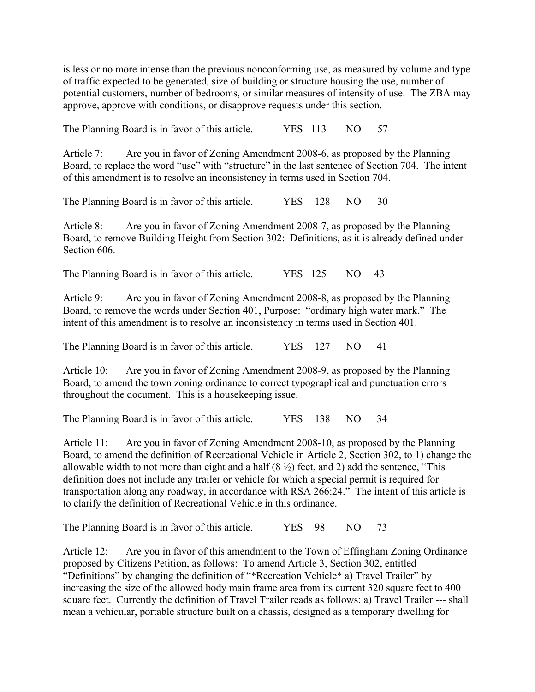is less or no more intense than the previous nonconforming use, as measured by volume and type of traffic expected to be generated, size of building or structure housing the use, number of potential customers, number of bedrooms, or similar measures of intensity of use. The ZBA may approve, approve with conditions, or disapprove requests under this section.

The Planning Board is in favor of this article. YES 113 NO 57

Article 7: Are you in favor of Zoning Amendment 2008-6, as proposed by the Planning Board, to replace the word "use" with "structure" in the last sentence of Section 704. The intent of this amendment is to resolve an inconsistency in terms used in Section 704.

The Planning Board is in favor of this article. YES 128 NO 30

Article 8: Are you in favor of Zoning Amendment 2008-7, as proposed by the Planning Board, to remove Building Height from Section 302: Definitions, as it is already defined under Section 606.

The Planning Board is in favor of this article. YES 125 NO 43

Article 9: Are you in favor of Zoning Amendment 2008-8, as proposed by the Planning Board, to remove the words under Section 401, Purpose: "ordinary high water mark." The intent of this amendment is to resolve an inconsistency in terms used in Section 401.

The Planning Board is in favor of this article. YES 127 NO 41

Article 10: Are you in favor of Zoning Amendment 2008-9, as proposed by the Planning Board, to amend the town zoning ordinance to correct typographical and punctuation errors throughout the document. This is a housekeeping issue.

The Planning Board is in favor of this article. YES 138 NO 34

Article 11: Are you in favor of Zoning Amendment 2008-10, as proposed by the Planning Board, to amend the definition of Recreational Vehicle in Article 2, Section 302, to 1) change the allowable width to not more than eight and a half  $(8 \frac{1}{2})$  feet, and 2) add the sentence, "This definition does not include any trailer or vehicle for which a special permit is required for transportation along any roadway, in accordance with RSA 266:24." The intent of this article is to clarify the definition of Recreational Vehicle in this ordinance.

The Planning Board is in favor of this article. YES 98 NO 73

Article 12: Are you in favor of this amendment to the Town of Effingham Zoning Ordinance proposed by Citizens Petition, as follows: To amend Article 3, Section 302, entitled "Definitions" by changing the definition of "\*Recreation Vehicle\* a) Travel Trailer" by increasing the size of the allowed body main frame area from its current 320 square feet to 400 square feet. Currently the definition of Travel Trailer reads as follows: a) Travel Trailer --- shall mean a vehicular, portable structure built on a chassis, designed as a temporary dwelling for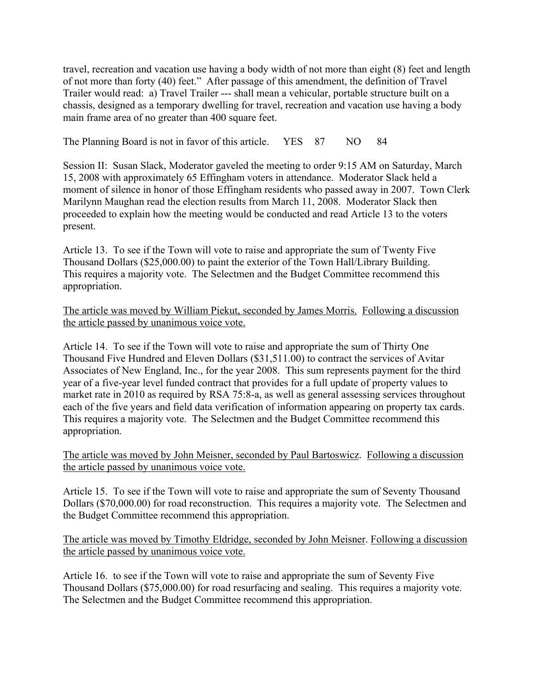travel, recreation and vacation use having a body width of not more than eight (8) feet and length of not more than forty (40) feet." After passage of this amendment, the definition of Travel Trailer would read: a) Travel Trailer --- shall mean a vehicular, portable structure built on a chassis, designed as a temporary dwelling for travel, recreation and vacation use having a body main frame area of no greater than 400 square feet.

The Planning Board is not in favor of this article. YES 87 NO 84

Session II: Susan Slack, Moderator gaveled the meeting to order 9:15 AM on Saturday, March 15, 2008 with approximately 65 Effingham voters in attendance. Moderator Slack held a moment of silence in honor of those Effingham residents who passed away in 2007. Town Clerk Marilynn Maughan read the election results from March 11, 2008. Moderator Slack then proceeded to explain how the meeting would be conducted and read Article 13 to the voters present.

Article 13. To see if the Town will vote to raise and appropriate the sum of Twenty Five Thousand Dollars (\$25,000.00) to paint the exterior of the Town Hall/Library Building. This requires a majority vote. The Selectmen and the Budget Committee recommend this appropriation.

# The article was moved by William Piekut, seconded by James Morris. Following a discussion the article passed by unanimous voice vote.

Article 14. To see if the Town will vote to raise and appropriate the sum of Thirty One Thousand Five Hundred and Eleven Dollars (\$31,511.00) to contract the services of Avitar Associates of New England, Inc., for the year 2008. This sum represents payment for the third year of a five-year level funded contract that provides for a full update of property values to market rate in 2010 as required by RSA 75:8-a, as well as general assessing services throughout each of the five years and field data verification of information appearing on property tax cards. This requires a majority vote. The Selectmen and the Budget Committee recommend this appropriation.

The article was moved by John Meisner, seconded by Paul Bartoswicz. Following a discussion the article passed by unanimous voice vote.

Article 15. To see if the Town will vote to raise and appropriate the sum of Seventy Thousand Dollars (\$70,000.00) for road reconstruction. This requires a majority vote. The Selectmen and the Budget Committee recommend this appropriation.

The article was moved by Timothy Eldridge, seconded by John Meisner. Following a discussion the article passed by unanimous voice vote.

Article 16. to see if the Town will vote to raise and appropriate the sum of Seventy Five Thousand Dollars (\$75,000.00) for road resurfacing and sealing. This requires a majority vote. The Selectmen and the Budget Committee recommend this appropriation.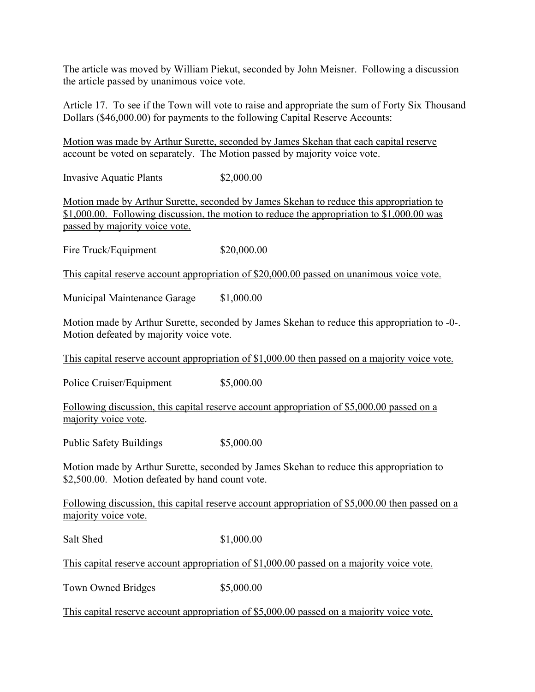The article was moved by William Piekut, seconded by John Meisner. Following a discussion the article passed by unanimous voice vote.

Article 17. To see if the Town will vote to raise and appropriate the sum of Forty Six Thousand Dollars (\$46,000.00) for payments to the following Capital Reserve Accounts:

Motion was made by Arthur Surette, seconded by James Skehan that each capital reserve account be voted on separately. The Motion passed by majority voice vote.

Invasive Aquatic Plants \$2,000.00

Motion made by Arthur Surette, seconded by James Skehan to reduce this appropriation to \$1,000.00. Following discussion, the motion to reduce the appropriation to \$1,000.00 was passed by majority voice vote.

Fire Truck/Equipment \$20,000.00

This capital reserve account appropriation of \$20,000.00 passed on unanimous voice vote.

Municipal Maintenance Garage \$1,000.00

Motion made by Arthur Surette, seconded by James Skehan to reduce this appropriation to -0-. Motion defeated by majority voice vote.

This capital reserve account appropriation of \$1,000.00 then passed on a majority voice vote.

Police Cruiser/Equipment \$5,000.00

Following discussion, this capital reserve account appropriation of \$5,000.00 passed on a majority voice vote.

Public Safety Buildings \$5,000.00

Motion made by Arthur Surette, seconded by James Skehan to reduce this appropriation to \$2,500.00. Motion defeated by hand count vote.

Following discussion, this capital reserve account appropriation of \$5,000.00 then passed on a majority voice vote.

Salt Shed \$1,000.00

This capital reserve account appropriation of \$1,000.00 passed on a majority voice vote.

Town Owned Bridges \$5,000.00

This capital reserve account appropriation of \$5,000.00 passed on a majority voice vote.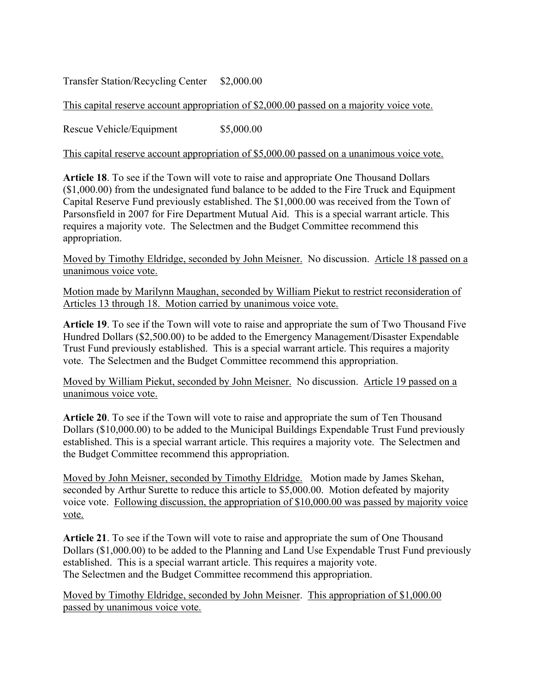Transfer Station/Recycling Center \$2,000.00

This capital reserve account appropriation of \$2,000.00 passed on a majority voice vote.

Rescue Vehicle/Equipment  $$5,000.00$ 

This capital reserve account appropriation of \$5,000.00 passed on a unanimous voice vote.

**Article 18**. To see if the Town will vote to raise and appropriate One Thousand Dollars (\$1,000.00) from the undesignated fund balance to be added to the Fire Truck and Equipment Capital Reserve Fund previously established. The \$1,000.00 was received from the Town of Parsonsfield in 2007 for Fire Department Mutual Aid. This is a special warrant article. This requires a majority vote. The Selectmen and the Budget Committee recommend this appropriation.

Moved by Timothy Eldridge, seconded by John Meisner. No discussion. Article 18 passed on a unanimous voice vote.

Motion made by Marilynn Maughan, seconded by William Piekut to restrict reconsideration of Articles 13 through 18. Motion carried by unanimous voice vote.

**Article 19**. To see if the Town will vote to raise and appropriate the sum of Two Thousand Five Hundred Dollars (\$2,500.00) to be added to the Emergency Management/Disaster Expendable Trust Fund previously established. This is a special warrant article. This requires a majority vote. The Selectmen and the Budget Committee recommend this appropriation.

Moved by William Piekut, seconded by John Meisner. No discussion. Article 19 passed on a unanimous voice vote.

**Article 20**. To see if the Town will vote to raise and appropriate the sum of Ten Thousand Dollars (\$10,000.00) to be added to the Municipal Buildings Expendable Trust Fund previously established. This is a special warrant article. This requires a majority vote. The Selectmen and the Budget Committee recommend this appropriation.

Moved by John Meisner, seconded by Timothy Eldridge. Motion made by James Skehan, seconded by Arthur Surette to reduce this article to \$5,000.00. Motion defeated by majority voice vote. Following discussion, the appropriation of \$10,000.00 was passed by majority voice vote.

**Article 21**. To see if the Town will vote to raise and appropriate the sum of One Thousand Dollars (\$1,000.00) to be added to the Planning and Land Use Expendable Trust Fund previously established. This is a special warrant article. This requires a majority vote. The Selectmen and the Budget Committee recommend this appropriation.

Moved by Timothy Eldridge, seconded by John Meisner. This appropriation of \$1,000.00 passed by unanimous voice vote.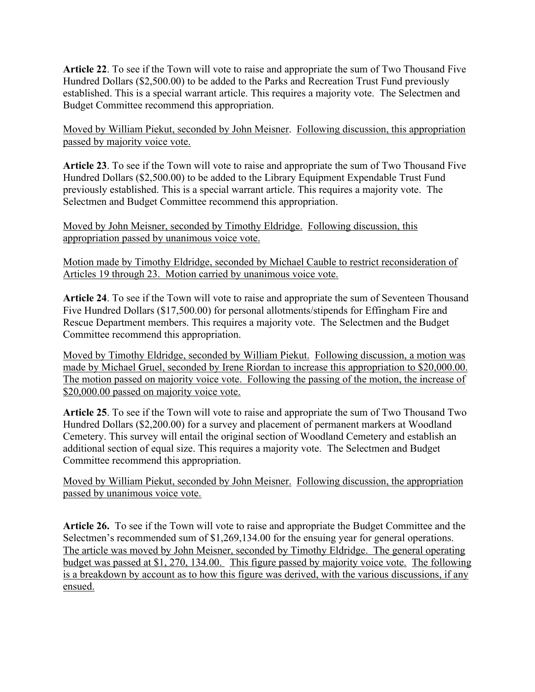**Article 22**. To see if the Town will vote to raise and appropriate the sum of Two Thousand Five Hundred Dollars (\$2,500.00) to be added to the Parks and Recreation Trust Fund previously established. This is a special warrant article. This requires a majority vote. The Selectmen and Budget Committee recommend this appropriation.

Moved by William Piekut, seconded by John Meisner. Following discussion, this appropriation passed by majority voice vote.

**Article 23**. To see if the Town will vote to raise and appropriate the sum of Two Thousand Five Hundred Dollars (\$2,500.00) to be added to the Library Equipment Expendable Trust Fund previously established. This is a special warrant article. This requires a majority vote. The Selectmen and Budget Committee recommend this appropriation.

Moved by John Meisner, seconded by Timothy Eldridge. Following discussion, this appropriation passed by unanimous voice vote.

Motion made by Timothy Eldridge, seconded by Michael Cauble to restrict reconsideration of Articles 19 through 23. Motion carried by unanimous voice vote.

**Article 24**. To see if the Town will vote to raise and appropriate the sum of Seventeen Thousand Five Hundred Dollars (\$17,500.00) for personal allotments/stipends for Effingham Fire and Rescue Department members. This requires a majority vote. The Selectmen and the Budget Committee recommend this appropriation.

Moved by Timothy Eldridge, seconded by William Piekut. Following discussion, a motion was made by Michael Gruel, seconded by Irene Riordan to increase this appropriation to \$20,000.00. The motion passed on majority voice vote. Following the passing of the motion, the increase of \$20,000.00 passed on majority voice vote.

**Article 25**. To see if the Town will vote to raise and appropriate the sum of Two Thousand Two Hundred Dollars (\$2,200.00) for a survey and placement of permanent markers at Woodland Cemetery. This survey will entail the original section of Woodland Cemetery and establish an additional section of equal size. This requires a majority vote. The Selectmen and Budget Committee recommend this appropriation.

Moved by William Piekut, seconded by John Meisner. Following discussion, the appropriation passed by unanimous voice vote.

**Article 26.** To see if the Town will vote to raise and appropriate the Budget Committee and the Selectmen's recommended sum of \$1,269,134.00 for the ensuing year for general operations. The article was moved by John Meisner, seconded by Timothy Eldridge. The general operating budget was passed at \$1, 270, 134.00. This figure passed by majority voice vote. The following is a breakdown by account as to how this figure was derived, with the various discussions, if any ensued.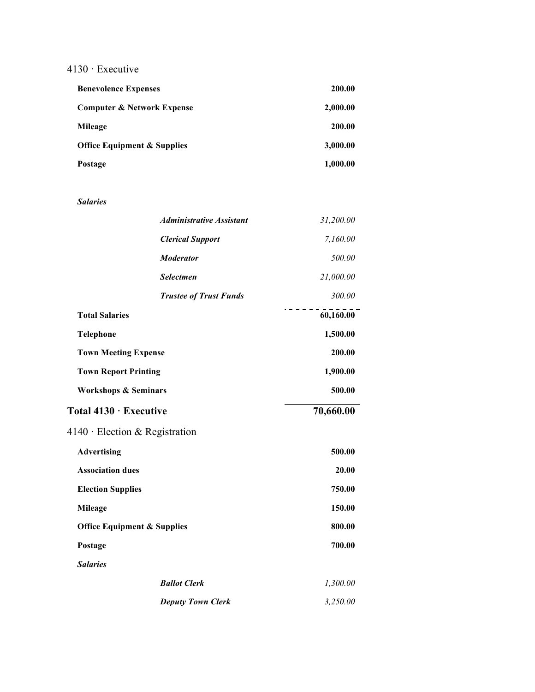# 4130 · Executive

| <b>Benevolence Expenses</b>            | 200.00   |
|----------------------------------------|----------|
| <b>Computer &amp; Network Expense</b>  | 2,000.00 |
| Mileage                                | 200.00   |
| <b>Office Equipment &amp; Supplies</b> | 3,000.00 |
| Postage                                | 1,000.00 |

#### *Salaries*

|                                        | <b>Administrative Assistant</b> | 31,200.00 |
|----------------------------------------|---------------------------------|-----------|
|                                        | <b>Clerical Support</b>         | 7,160.00  |
|                                        | <b>Moderator</b>                | 500.00    |
|                                        | <b>Selectmen</b>                | 21,000.00 |
|                                        | <b>Trustee of Trust Funds</b>   | 300.00    |
| <b>Total Salaries</b>                  |                                 | 60,160.00 |
| <b>Telephone</b>                       |                                 | 1,500.00  |
| <b>Town Meeting Expense</b>            |                                 | 200.00    |
| <b>Town Report Printing</b>            |                                 | 1,900.00  |
| <b>Workshops &amp; Seminars</b>        |                                 | 500.00    |
| Total 4130 · Executive                 |                                 | 70,660.00 |
| $4140 \cdot$ Election & Registration   |                                 |           |
| <b>Advertising</b>                     |                                 | 500.00    |
| <b>Association dues</b>                |                                 | 20.00     |
| <b>Election Supplies</b>               |                                 | 750.00    |
| <b>Mileage</b>                         |                                 | 150.00    |
| <b>Office Equipment &amp; Supplies</b> |                                 | 800.00    |
| Postage                                |                                 | 700.00    |
| <b>Salaries</b>                        |                                 |           |
|                                        | <b>Ballot Clerk</b>             | 1,300.00  |
|                                        | <b>Deputy Town Clerk</b>        | 3,250.00  |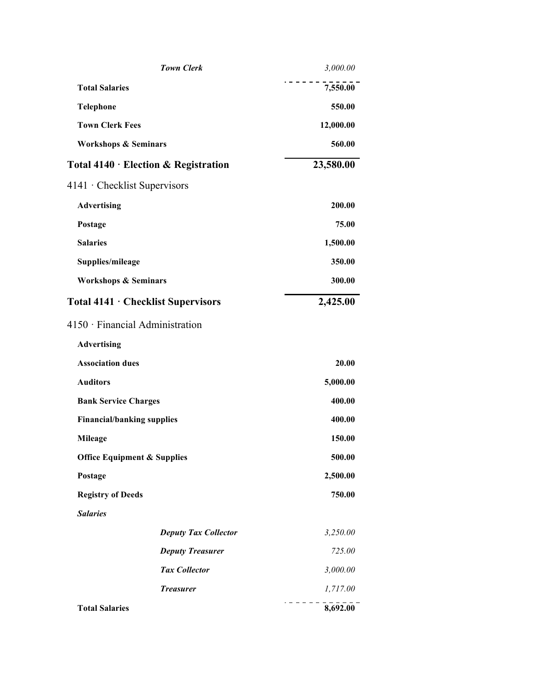|                                        | <b>Town Clerk</b>           | 3,000.00  |
|----------------------------------------|-----------------------------|-----------|
| <b>Total Salaries</b>                  |                             | 7,550.00  |
| Telephone                              |                             | 550.00    |
| <b>Town Clerk Fees</b>                 |                             | 12,000.00 |
| <b>Workshops &amp; Seminars</b>        |                             | 560.00    |
| Total 4140 · Election & Registration   |                             | 23,580.00 |
| 4141 • Checklist Supervisors           |                             |           |
| <b>Advertising</b>                     |                             | 200.00    |
| Postage                                |                             | 75.00     |
| <b>Salaries</b>                        |                             | 1,500.00  |
| Supplies/mileage                       |                             | 350.00    |
| <b>Workshops &amp; Seminars</b>        |                             | 300.00    |
| Total 4141 · Checklist Supervisors     |                             | 2,425.00  |
| 4150 · Financial Administration        |                             |           |
| <b>Advertising</b>                     |                             |           |
| <b>Association dues</b>                |                             | 20.00     |
| <b>Auditors</b>                        |                             | 5,000.00  |
| <b>Bank Service Charges</b>            |                             | 400.00    |
| <b>Financial/banking supplies</b>      |                             | 400.00    |
| <b>Mileage</b>                         |                             | 150.00    |
| <b>Office Equipment &amp; Supplies</b> |                             | 500.00    |
| Postage                                |                             | 2,500.00  |
| <b>Registry of Deeds</b>               |                             | 750.00    |
| <b>Salaries</b>                        |                             |           |
|                                        | <b>Deputy Tax Collector</b> | 3,250.00  |
|                                        | <b>Deputy Treasurer</b>     | 725.00    |
|                                        | <b>Tax Collector</b>        | 3,000.00  |
|                                        | <b>Treasurer</b>            | 1,717.00  |
| <b>Total Salaries</b>                  |                             | 8,692.00  |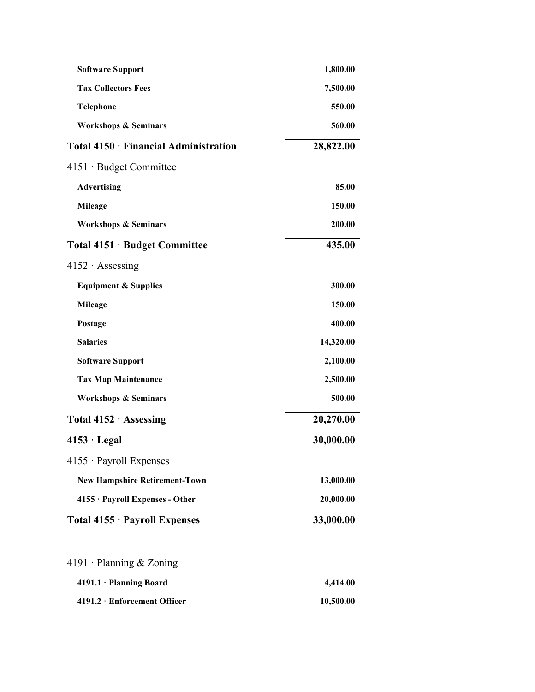| <b>Software Support</b>               | 1,800.00  |
|---------------------------------------|-----------|
| <b>Tax Collectors Fees</b>            | 7,500.00  |
| <b>Telephone</b>                      | 550.00    |
| <b>Workshops &amp; Seminars</b>       | 560.00    |
| Total 4150 · Financial Administration | 28,822.00 |
| $4151 \cdot$ Budget Committee         |           |
| <b>Advertising</b>                    | 85.00     |
| <b>Mileage</b>                        | 150.00    |
| <b>Workshops &amp; Seminars</b>       | 200.00    |
| Total 4151 · Budget Committee         | 435.00    |
| $4152 \cdot$ Assessing                |           |
| <b>Equipment &amp; Supplies</b>       | 300.00    |
| <b>Mileage</b>                        | 150.00    |
| Postage                               | 400.00    |
| <b>Salaries</b>                       | 14,320.00 |
| <b>Software Support</b>               | 2,100.00  |
| <b>Tax Map Maintenance</b>            | 2,500.00  |
| <b>Workshops &amp; Seminars</b>       | 500.00    |
| Total 4152 · Assessing                | 20,270.00 |
| $4153 \cdot$ Legal                    | 30,000.00 |
| 4155 · Payroll Expenses               |           |
| <b>New Hampshire Retirement-Town</b>  | 13,000.00 |
| 4155 · Payroll Expenses - Other       | 20,000.00 |
| Total 4155 · Payroll Expenses         | 33,000.00 |
| 4191 · Planning & Zoning              |           |
| 4191.1 · Planning Board               | 4,414.00  |
| 4191.2 · Enforcement Officer          | 10,500.00 |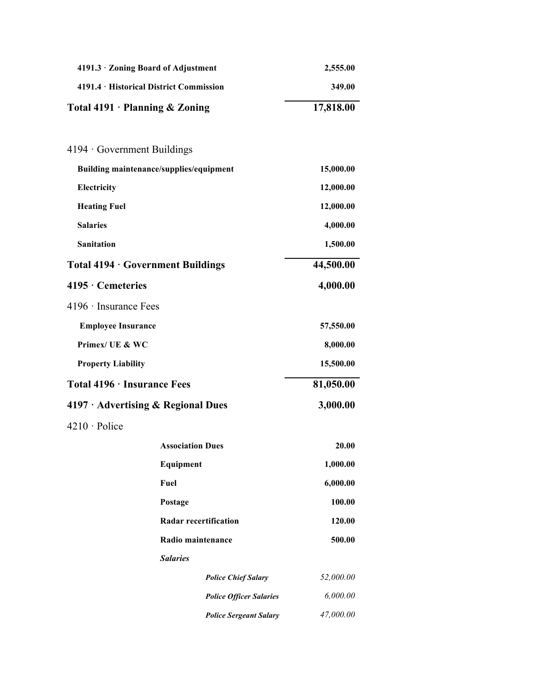| 4191.3 · Zoning Board of Adjustment      |                                | 2,555.00  |
|------------------------------------------|--------------------------------|-----------|
| 4191.4 · Historical District Commission  |                                | 349.00    |
| Total $4191 \cdot$ Planning & Zoning     |                                | 17,818.00 |
|                                          |                                |           |
| $4194 \cdot$ Government Buildings        |                                |           |
| Building maintenance/supplies/equipment  |                                | 15,000.00 |
| Electricity                              |                                | 12,000.00 |
| <b>Heating Fuel</b>                      |                                | 12,000.00 |
| <b>Salaries</b>                          |                                | 4,000.00  |
| <b>Sanitation</b>                        |                                | 1,500.00  |
| Total 4194 · Government Buildings        |                                | 44,500.00 |
| 4195 · Cemeteries                        |                                | 4,000.00  |
| $4196 \cdot$ Insurance Fees              |                                |           |
| <b>Employee Insurance</b>                |                                | 57,550.00 |
| Primex/ UE & WC                          |                                | 8,000.00  |
| <b>Property Liability</b>                |                                | 15,500.00 |
| Total 4196 · Insurance Fees              |                                | 81,050.00 |
| $4197 \cdot$ Advertising & Regional Dues |                                | 3,000.00  |
| 4210 · Police                            |                                |           |
|                                          | <b>Association Dues</b>        | 20.00     |
|                                          | Equipment                      | 1,000.00  |
|                                          | Fuel                           | 6,000.00  |
|                                          | Postage                        | 100.00    |
|                                          | <b>Radar recertification</b>   | 120.00    |
|                                          | Radio maintenance              | 500.00    |
|                                          | <b>Salaries</b>                |           |
|                                          | <b>Police Chief Salary</b>     | 52,000.00 |
|                                          | <b>Police Officer Salaries</b> | 6,000.00  |
|                                          | <b>Police Sergeant Salary</b>  | 47,000.00 |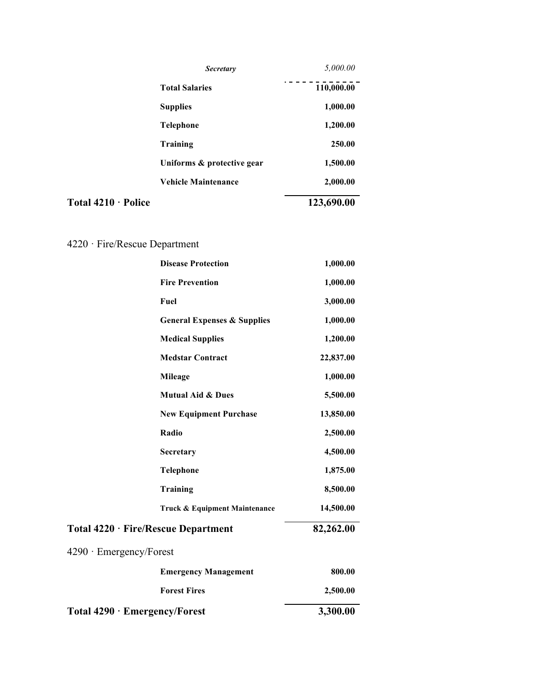|                           | <b>Secretary</b>           | 5,000.00   |
|---------------------------|----------------------------|------------|
|                           | <b>Total Salaries</b>      | 110,000.00 |
|                           | <b>Supplies</b>            | 1,000.00   |
|                           | <b>Telephone</b>           | 1,200.00   |
|                           | Training                   | 250.00     |
|                           | Uniforms & protective gear | 1,500.00   |
|                           | <b>Vehicle Maintenance</b> | 2,000.00   |
| Total $4210 \cdot$ Police |                            | 123,690.00 |

# 4220 · Fire/Rescue Department

| <b>Disease Protection</b>              | 1,000.00  |  |
|----------------------------------------|-----------|--|
| <b>Fire Prevention</b>                 | 1,000.00  |  |
| Fuel                                   | 3,000.00  |  |
| <b>General Expenses &amp; Supplies</b> | 1,000.00  |  |
| <b>Medical Supplies</b>                | 1,200.00  |  |
| <b>Medstar Contract</b>                | 22,837.00 |  |
| <b>Mileage</b>                         | 1,000.00  |  |
| <b>Mutual Aid &amp; Dues</b>           | 5,500.00  |  |
| <b>New Equipment Purchase</b>          | 13,850.00 |  |
| Radio                                  | 2,500.00  |  |
| Secretary                              | 4,500.00  |  |
| <b>Telephone</b>                       | 1,875.00  |  |
| Training                               | 8,500.00  |  |
| Truck & Equipment Maintenance          | 14,500.00 |  |
| Total 4220 · Fire/Rescue Department    | 82,262.00 |  |
| $4290 \cdot$ Emergency/Forest          |           |  |
| <b>Emergency Management</b>            | 800.00    |  |
| <b>Forest Fires</b>                    | 2,500.00  |  |
| Total 4290 · Emergency/Forest          | 3,300.00  |  |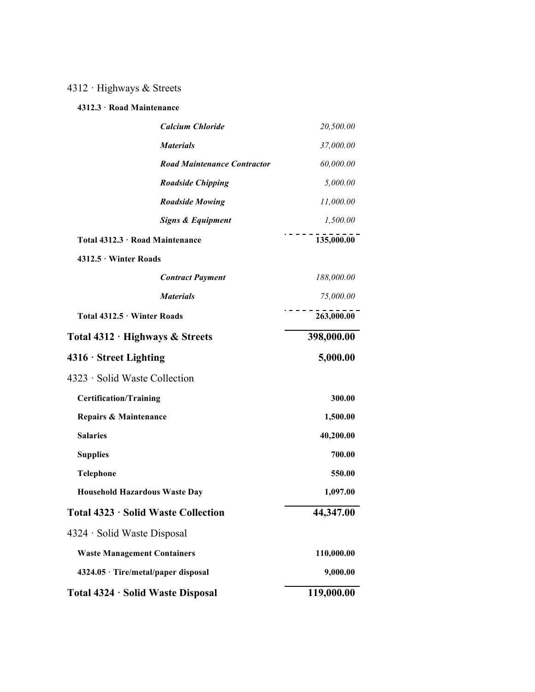# 4312 · Highways & Streets

# **4312.3 · Road Maintenance**

|                                      | <b>Calcium Chloride</b>            | 20,500.00  |
|--------------------------------------|------------------------------------|------------|
|                                      | <b>Materials</b>                   | 37,000.00  |
|                                      | <b>Road Maintenance Contractor</b> | 60,000.00  |
|                                      | <b>Roadside Chipping</b>           | 5,000.00   |
|                                      | <b>Roadside Mowing</b>             | 11,000.00  |
|                                      | <b>Signs &amp; Equipment</b>       | 1,500.00   |
| Total 4312.3 · Road Maintenance      |                                    | 135,000.00 |
| 4312.5 Winter Roads                  |                                    |            |
|                                      | <b>Contract Payment</b>            | 188,000.00 |
|                                      | <b>Materials</b>                   | 75,000.00  |
| Total 4312.5 · Winter Roads          |                                    | 263,000.00 |
| Total 4312 · Highways & Streets      |                                    | 398,000.00 |
| $4316 \cdot$ Street Lighting         |                                    | 5,000.00   |
| 4323 · Solid Waste Collection        |                                    |            |
| <b>Certification/Training</b>        |                                    | 300.00     |
| Repairs & Maintenance                |                                    | 1,500.00   |
| <b>Salaries</b>                      |                                    | 40,200.00  |
| <b>Supplies</b>                      |                                    | 700.00     |
| <b>Telephone</b>                     |                                    | 550.00     |
| <b>Household Hazardous Waste Day</b> |                                    | 1,097.00   |
| Total 4323 · Solid Waste Collection  |                                    | 44,347.00  |
| 4324 · Solid Waste Disposal          |                                    |            |
| <b>Waste Management Containers</b>   |                                    | 110,000.00 |
| 4324.05 · Tire/metal/paper disposal  |                                    | 9,000.00   |
| Total 4324 · Solid Waste Disposal    |                                    | 119,000.00 |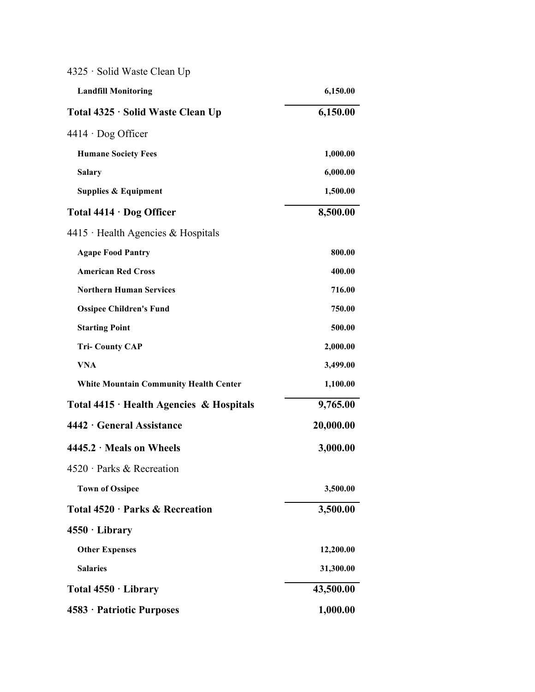| 4325 · Solid Waste Clean Up                    |           |
|------------------------------------------------|-----------|
| <b>Landfill Monitoring</b>                     | 6,150.00  |
| Total 4325 · Solid Waste Clean Up              | 6,150.00  |
| $4414 \cdot$ Dog Officer                       |           |
| <b>Humane Society Fees</b>                     | 1,000.00  |
| <b>Salary</b>                                  | 6,000.00  |
| <b>Supplies &amp; Equipment</b>                | 1,500.00  |
| Total $4414 \cdot$ Dog Officer                 | 8,500.00  |
| $4415$ Health Agencies & Hospitals             |           |
| <b>Agape Food Pantry</b>                       | 800.00    |
| <b>American Red Cross</b>                      | 400.00    |
| <b>Northern Human Services</b>                 | 716.00    |
| <b>Ossipee Children's Fund</b>                 | 750.00    |
| <b>Starting Point</b>                          | 500.00    |
| <b>Tri-County CAP</b>                          | 2,000.00  |
| <b>VNA</b>                                     | 3,499.00  |
| <b>White Mountain Community Health Center</b>  | 1,100.00  |
| Total $4415 \cdot$ Health Agencies & Hospitals | 9,765.00  |
| 4442 · General Assistance                      | 20,000.00 |
| $4445.2 \cdot$ Meals on Wheels                 | 3,000.00  |
| $4520 \cdot$ Parks & Recreation                |           |
| <b>Town of Ossipee</b>                         | 3,500.00  |
| Total 4520 · Parks & Recreation                | 3,500.00  |
| $4550 \cdot Library$                           |           |
| <b>Other Expenses</b>                          | 12,200.00 |
| <b>Salaries</b>                                | 31,300.00 |
| Total $4550 \cdot$ Library                     | 43,500.00 |
| 4583 · Patriotic Purposes                      | 1,000.00  |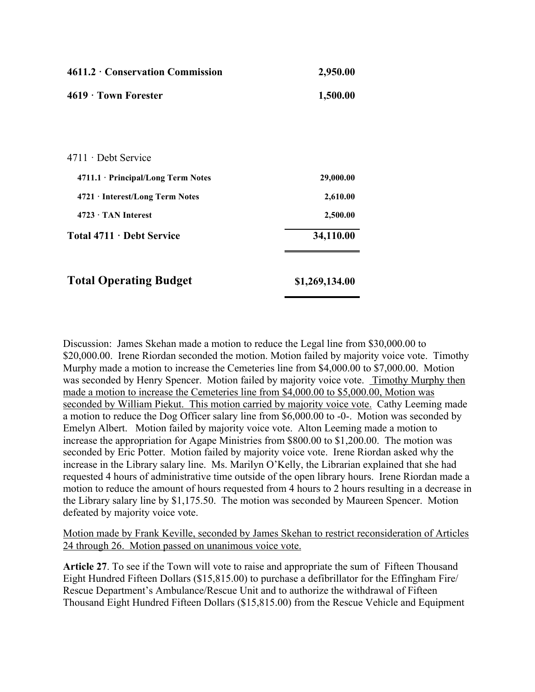| $4611.2 \cdot$ Conservation Commission            | 2,950.00       |
|---------------------------------------------------|----------------|
| $4619 \cdot$ Town Forester                        | 1,500.00       |
|                                                   |                |
|                                                   |                |
| $4711 \cdot$ Debt Service                         |                |
| 4711.1 · Principal/Long Term Notes                | 29,000.00      |
| 4721 · Interest/Long Term Notes                   | 2,610.00       |
| $4723 \cdot$ TAN Interest                         | 2,500.00       |
| <b>Total 4711 <math>\cdot</math> Debt Service</b> | 34,110.00      |
|                                                   |                |
| <b>Total Operating Budget</b>                     | \$1,269,134.00 |

Discussion: James Skehan made a motion to reduce the Legal line from \$30,000.00 to \$20,000.00. Irene Riordan seconded the motion. Motion failed by majority voice vote. Timothy Murphy made a motion to increase the Cemeteries line from \$4,000.00 to \$7,000.00. Motion was seconded by Henry Spencer. Motion failed by majority voice vote. Timothy Murphy then made a motion to increase the Cemeteries line from \$4,000.00 to \$5,000.00, Motion was seconded by William Piekut. This motion carried by majority voice vote. Cathy Leeming made a motion to reduce the Dog Officer salary line from \$6,000.00 to -0-. Motion was seconded by Emelyn Albert. Motion failed by majority voice vote. Alton Leeming made a motion to increase the appropriation for Agape Ministries from \$800.00 to \$1,200.00. The motion was seconded by Eric Potter. Motion failed by majority voice vote. Irene Riordan asked why the increase in the Library salary line. Ms. Marilyn O'Kelly, the Librarian explained that she had requested 4 hours of administrative time outside of the open library hours. Irene Riordan made a motion to reduce the amount of hours requested from 4 hours to 2 hours resulting in a decrease in the Library salary line by \$1,175.50. The motion was seconded by Maureen Spencer. Motion defeated by majority voice vote.

Motion made by Frank Keville, seconded by James Skehan to restrict reconsideration of Articles 24 through 26. Motion passed on unanimous voice vote.

**Article 27**. To see if the Town will vote to raise and appropriate the sum of Fifteen Thousand Eight Hundred Fifteen Dollars (\$15,815.00) to purchase a defibrillator for the Effingham Fire/ Rescue Department's Ambulance/Rescue Unit and to authorize the withdrawal of Fifteen Thousand Eight Hundred Fifteen Dollars (\$15,815.00) from the Rescue Vehicle and Equipment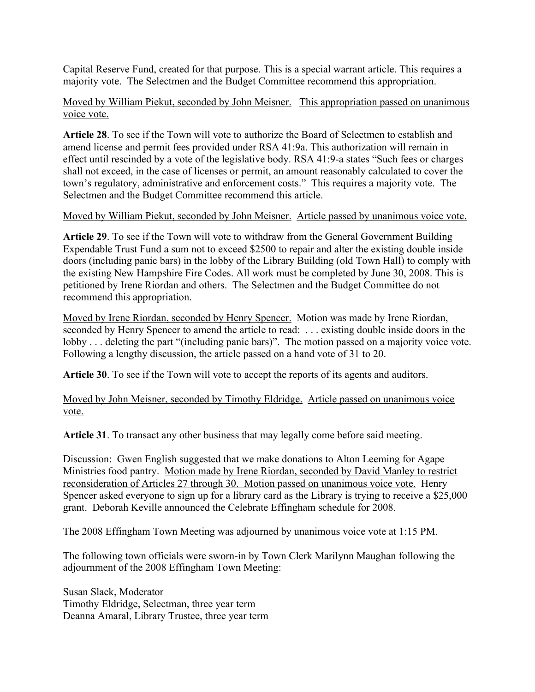Capital Reserve Fund, created for that purpose. This is a special warrant article. This requires a majority vote. The Selectmen and the Budget Committee recommend this appropriation.

# Moved by William Piekut, seconded by John Meisner. This appropriation passed on unanimous voice vote.

**Article 28**. To see if the Town will vote to authorize the Board of Selectmen to establish and amend license and permit fees provided under RSA 41:9a. This authorization will remain in effect until rescinded by a vote of the legislative body. RSA 41:9-a states "Such fees or charges shall not exceed, in the case of licenses or permit, an amount reasonably calculated to cover the town's regulatory, administrative and enforcement costs." This requires a majority vote. The Selectmen and the Budget Committee recommend this article.

# Moved by William Piekut, seconded by John Meisner. Article passed by unanimous voice vote.

**Article 29**. To see if the Town will vote to withdraw from the General Government Building Expendable Trust Fund a sum not to exceed \$2500 to repair and alter the existing double inside doors (including panic bars) in the lobby of the Library Building (old Town Hall) to comply with the existing New Hampshire Fire Codes. All work must be completed by June 30, 2008. This is petitioned by Irene Riordan and others. The Selectmen and the Budget Committee do not recommend this appropriation.

Moved by Irene Riordan, seconded by Henry Spencer. Motion was made by Irene Riordan, seconded by Henry Spencer to amend the article to read: . . . existing double inside doors in the lobby . . . deleting the part "(including panic bars)". The motion passed on a majority voice vote. Following a lengthy discussion, the article passed on a hand vote of 31 to 20.

**Article 30**. To see if the Town will vote to accept the reports of its agents and auditors.

Moved by John Meisner, seconded by Timothy Eldridge. Article passed on unanimous voice vote.

**Article 31**. To transact any other business that may legally come before said meeting.

Discussion: Gwen English suggested that we make donations to Alton Leeming for Agape Ministries food pantry. Motion made by Irene Riordan, seconded by David Manley to restrict reconsideration of Articles 27 through 30. Motion passed on unanimous voice vote. Henry Spencer asked everyone to sign up for a library card as the Library is trying to receive a \$25,000 grant. Deborah Keville announced the Celebrate Effingham schedule for 2008.

The 2008 Effingham Town Meeting was adjourned by unanimous voice vote at 1:15 PM.

The following town officials were sworn-in by Town Clerk Marilynn Maughan following the adjournment of the 2008 Effingham Town Meeting:

Susan Slack, Moderator Timothy Eldridge, Selectman, three year term Deanna Amaral, Library Trustee, three year term